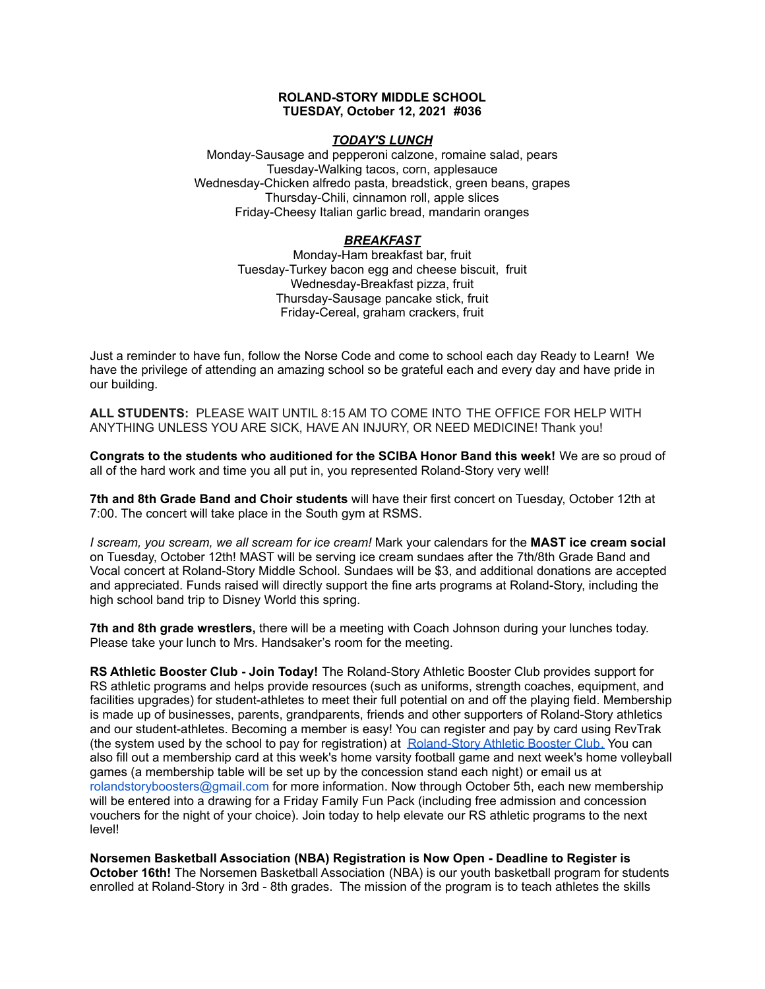## **ROLAND-STORY MIDDLE SCHOOL TUESDAY, October 12, 2021 #036**

## *TODAY'S LUNCH*

Monday-Sausage and pepperoni calzone, romaine salad, pears Tuesday-Walking tacos, corn, applesauce Wednesday-Chicken alfredo pasta, breadstick, green beans, grapes Thursday-Chili, cinnamon roll, apple slices Friday-Cheesy Italian garlic bread, mandarin oranges

# *BREAKFAST*

Monday-Ham breakfast bar, fruit Tuesday-Turkey bacon egg and cheese biscuit, fruit Wednesday-Breakfast pizza, fruit Thursday-Sausage pancake stick, fruit Friday-Cereal, graham crackers, fruit

Just a reminder to have fun, follow the Norse Code and come to school each day Ready to Learn! We have the privilege of attending an amazing school so be grateful each and every day and have pride in our building.

**ALL STUDENTS:** PLEASE WAIT UNTIL 8:15 AM TO COME INTO THE OFFICE FOR HELP WITH ANYTHING UNLESS YOU ARE SICK, HAVE AN INJURY, OR NEED MEDICINE! Thank you!

**Congrats to the students who auditioned for the SCIBA Honor Band this week!** We are so proud of all of the hard work and time you all put in, you represented Roland-Story very well!

**7th and 8th Grade Band and Choir students** will have their first concert on Tuesday, October 12th at 7:00. The concert will take place in the South gym at RSMS.

*I scream, you scream, we all scream for ice cream!* Mark your calendars for the **MAST ice cream social** on Tuesday, October 12th! MAST will be serving ice cream sundaes after the 7th/8th Grade Band and Vocal concert at Roland-Story Middle School. Sundaes will be \$3, and additional donations are accepted and appreciated. Funds raised will directly support the fine arts programs at Roland-Story, including the high school band trip to Disney World this spring.

**7th and 8th grade wrestlers,** there will be a meeting with Coach Johnson during your lunches today. Please take your lunch to Mrs. Handsaker's room for the meeting.

**RS Athletic Booster Club - Join Today!** The Roland-Story Athletic Booster Club provides support for RS athletic programs and helps provide resources (such as uniforms, strength coaches, equipment, and facilities upgrades) for student-athletes to meet their full potential on and off the playing field. Membership is made up of businesses, parents, grandparents, friends and other supporters of Roland-Story athletics and our student-athletes. Becoming a member is easy! You can register and pay by card using RevTrak (the system used by the school to pay for registration) at [Roland-Story](https://rolandstory.revtrak.net/Roland-Story-Athletic-Booster-Club/) Athletic Booster Club. You can also fill out a membership card at this week's home varsity football game and next week's home volleyball games (a membership table will be set up by the concession stand each night) or email us at rolandstoryboosters@gmail.com for more information. Now through October 5th, each new membership will be entered into a drawing for a Friday Family Fun Pack (including free admission and concession vouchers for the night of your choice). Join today to help elevate our RS athletic programs to the next level!

**Norsemen Basketball Association (NBA) Registration is Now Open - Deadline to Register is October 16th!** The Norsemen Basketball Association (NBA) is our youth basketball program for students enrolled at Roland-Story in 3rd - 8th grades. The mission of the program is to teach athletes the skills